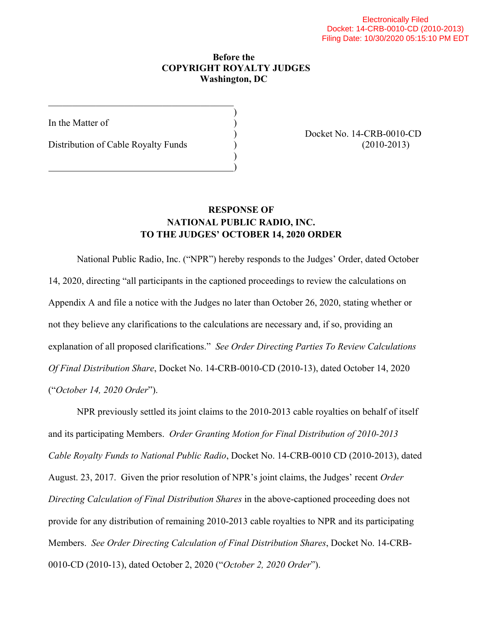## **Before the COPYRIGHT ROYALTY JUDGES Washington, DC**

)

)

In the Matter of

Distribution of Cable Royalty Funds ) (2010-2013)

\_\_\_\_\_\_\_\_\_\_\_\_\_\_\_\_\_\_\_\_\_\_\_\_\_\_\_\_\_\_\_\_\_\_\_\_\_\_\_

)

) Docket No. 14-CRB-0010-CD

## **RESPONSE OF NATIONAL PUBLIC RADIO, INC. TO THE JUDGES' OCTOBER 14, 2020 ORDER**

National Public Radio, Inc. ("NPR") hereby responds to the Judges' Order, dated October 14, 2020, directing "all participants in the captioned proceedings to review the calculations on Appendix A and file a notice with the Judges no later than October 26, 2020, stating whether or not they believe any clarifications to the calculations are necessary and, if so, providing an explanation of all proposed clarifications." *See Order Directing Parties To Review Calculations Of Final Distribution Share*, Docket No. 14-CRB-0010-CD (2010-13), dated October 14, 2020 ("*October 14, 2020 Order*").

NPR previously settled its joint claims to the 2010-2013 cable royalties on behalf of itself and its participating Members. *Order Granting Motion for Final Distribution of 2010-2013 Cable Royalty Funds to National Public Radio*, Docket No. 14-CRB-0010 CD (2010-2013), dated August. 23, 2017. Given the prior resolution of NPR's joint claims, the Judges' recent *Order Directing Calculation of Final Distribution Shares* in the above-captioned proceeding does not provide for any distribution of remaining 2010-2013 cable royalties to NPR and its participating Members. *See Order Directing Calculation of Final Distribution Shares*, Docket No. 14-CRB-0010-CD (2010-13), dated October 2, 2020 ("*October 2, 2020 Order*").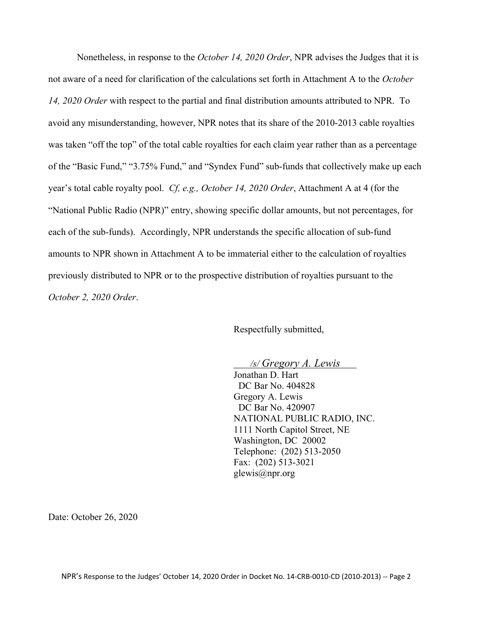Nonetheless, in response to the *October 14, 2020 Order*, NPR advises the Judges that it is not aware of a need for clarification of the calculations set forth in Attachment A to the *October 14, 2020 Order* with respect to the partial and final distribution amounts attributed to NPR. To avoid any misunderstanding, however, NPR notes that its share of the 2010-2013 cable royalties was taken "off the top" of the total cable royalties for each claim year rather than as a percentage of the "Basic Fund," "3.75% Fund," and "Syndex Fund" sub-funds that collectively make up each year's total cable royalty pool. *Cf, e.g., October 14, 2020 Order*, Attachment A at 4 (for the "National Public Radio (NPR)" entry, showing specific dollar amounts, but not percentages, for each of the sub-funds). Accordingly, NPR understands the specific allocation of sub-fund amounts to NPR shown in Attachment A to be immaterial either to the calculation of royalties previously distributed to NPR or to the prospective distribution of royalties pursuant to the *October 2, 2020 Order*.

Respectfully submitted,

*/s/ Gregory A. Lewis* 

Jonathan D. Hart DC Bar No. 404828 Gregory A. Lewis DC Bar No. 420907 NATIONAL PUBLIC RADIO, INC. 1111 North Capitol Street, NE Washington, DC 20002 Telephone: (202) 513-2050 Fax: (202) 513-3021 glewis@npr.org

Date: October 26, 2020